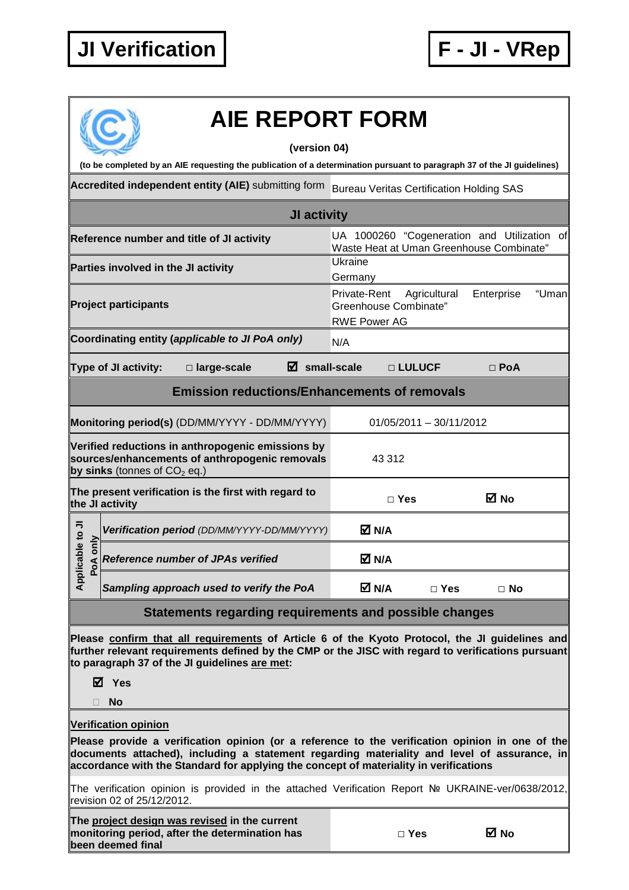## **JI Verification F - JI - VRep**

## **AIE REPORT FORM**

**(version 04)** 

**(to be completed by an AIE requesting the publication of a determination pursuant to paragraph 37 of the JI guidelines)** 

Accredited independent entity (AIE) submitting form Bureau Veritas Certification Holding SAS

| JI activity                                                                 |                                     |                                                                                                     |                                                                                         |                                                                                                     |            |            |  |
|-----------------------------------------------------------------------------|-------------------------------------|-----------------------------------------------------------------------------------------------------|-----------------------------------------------------------------------------------------|-----------------------------------------------------------------------------------------------------|------------|------------|--|
| Reference number and title of JI activity                                   |                                     |                                                                                                     | UA 1000260 "Cogeneration and Utilization of<br>Waste Heat at Uman Greenhouse Combinate" |                                                                                                     |            |            |  |
|                                                                             | Parties involved in the JI activity |                                                                                                     |                                                                                         | Ukraine<br>Germany                                                                                  |            |            |  |
|                                                                             | <b>Project participants</b>         |                                                                                                     |                                                                                         | Private-Rent<br>Agricultural<br>Enterprise<br>"Uman<br>Greenhouse Combinate"<br><b>RWE Power AG</b> |            |            |  |
| Coordinating entity (applicable to JI PoA only)                             |                                     |                                                                                                     |                                                                                         | N/A                                                                                                 |            |            |  |
|                                                                             | Type of JI activity:                | □ large-scale                                                                                       | $\boxtimes$ small-scale                                                                 |                                                                                                     | □ LULUCF   | $\Box$ PoA |  |
| <b>Emission reductions/Enhancements of removals</b>                         |                                     |                                                                                                     |                                                                                         |                                                                                                     |            |            |  |
| Monitoring period(s) (DD/MM/YYYY - DD/MM/YYYY)<br>$01/05/2011 - 30/11/2012$ |                                     |                                                                                                     |                                                                                         |                                                                                                     |            |            |  |
|                                                                             | by sinks (tonnes of $CO2$ eq.)      | Verified reductions in anthropogenic emissions by<br>sources/enhancements of anthropogenic removals |                                                                                         |                                                                                                     | 43 312     |            |  |
|                                                                             | the JI activity                     | The present verification is the first with regard to                                                |                                                                                         |                                                                                                     | $\Box$ Yes | ⊠ No       |  |
|                                                                             |                                     | Verification period (DD/MM/YYYY-DD/MM/YYYY)                                                         |                                                                                         | M N/A                                                                                               |            |            |  |
| Applicable to JI<br>only<br>PoA                                             |                                     | <b>Reference number of JPAs verified</b>                                                            |                                                                                         | M N/A                                                                                               |            |            |  |
|                                                                             |                                     | Sampling approach used to verify the PoA                                                            |                                                                                         | M N/A                                                                                               | $\Box$ Yes | $\Box$ No  |  |

## **Statements regarding requirements and possible changes**

**Please confirm that all requirements of Article 6 of the Kyoto Protocol, the JI guidelines and further relevant requirements defined by the CMP or the JISC with regard to verifications pursuant to paragraph 37 of the JI guidelines are met:** 

**Yes** 

**No** 

**Verification opinion**

**Please provide a verification opinion (or a reference to the verification opinion in one of the documents attached), including a statement regarding materiality and level of assurance, in accordance with the Standard for applying the concept of materiality in verifications** 

The verification opinion is provided in the attached Verification Report № UKRAINE-ver/0638/2012, revision 02 of 25/12/2012.

**The project design was revised in the current monitoring period, after the determination has been deemed final** 

| ×<br>۰.<br>v<br>w |
|-------------------|
|-------------------|

**□ Yes No**